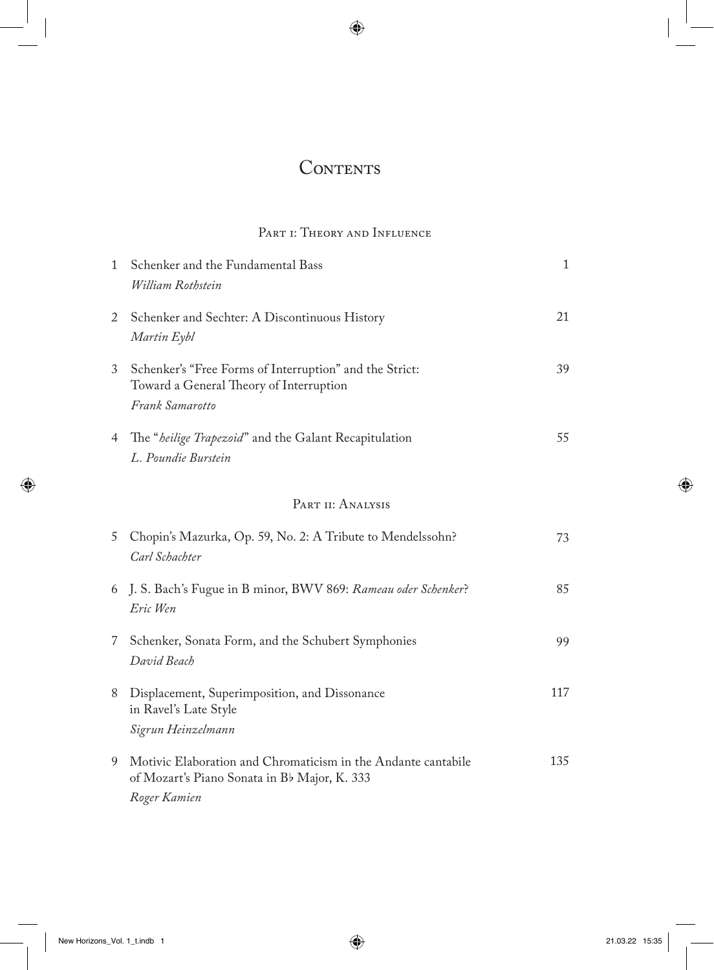## CONTENTS

## PART I: THEORY AND INFLUENCE

| $1 \quad$         | Schenker and the Fundamental Bass<br>William Rothstein                                                                        | $\mathbf{1}$ |
|-------------------|-------------------------------------------------------------------------------------------------------------------------------|--------------|
| 2                 | Schenker and Sechter: A Discontinuous History<br>Martin Eybl                                                                  | 21           |
| 3                 | Schenker's "Free Forms of Interruption" and the Strict:<br>Toward a General Theory of Interruption<br>Frank Samarotto         | 39           |
| $4 \quad$         | The "heilige Trapezoid" and the Galant Recapitulation<br>L. Poundie Burstein                                                  | 55           |
| PART II: ANALYSIS |                                                                                                                               |              |
| 5                 | Chopin's Mazurka, Op. 59, No. 2: A Tribute to Mendelssohn?<br>Carl Schachter                                                  | 73           |
|                   | 6 J. S. Bach's Fugue in B minor, BWV 869: Rameau oder Schenker?<br>Eric Wen                                                   | 85           |
|                   | 7 Schenker, Sonata Form, and the Schubert Symphonies<br>David Beach                                                           | 99           |
| 8                 | Displacement, Superimposition, and Dissonance<br>in Ravel's Late Style<br>Sigrun Heinzelmann                                  | 117          |
| 9                 | Motivic Elaboration and Chromaticism in the Andante cantabile<br>of Mozart's Piano Sonata in Bb Major, K. 333<br>Roger Kamien | 135          |